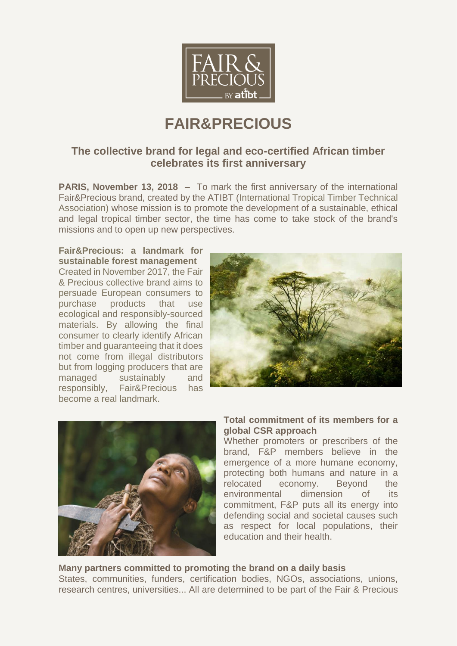

# **FAIR&PRECIOUS**

# **The collective brand for legal and eco-certified African timber celebrates its first anniversary**

**PARIS, November 13, 2018 –** To mark the first anniversary of the international Fair&Precious brand, created by the ATIBT (International Tropical Timber Technical Association) whose mission is to promote the development of a sustainable, ethical and legal tropical timber sector, the time has come to take stock of the brand's missions and to open up new perspectives.

**Fair&Precious: a landmark for sustainable forest management** Created in November 2017, the Fair & Precious collective brand aims to persuade European consumers to purchase products that use ecological and responsibly-sourced materials. By allowing the final consumer to clearly identify African timber and guaranteeing that it does not come from illegal distributors but from logging producers that are managed sustainably and responsibly, Fair&Precious has become a real landmark.





# **Total commitment of its members for a global CSR approach**

Whether promoters or prescribers of the brand, F&P members believe in the emergence of a more humane economy, protecting both humans and nature in a relocated economy. Beyond the environmental dimension of its commitment, F&P puts all its energy into defending social and societal causes such as respect for local populations, their education and their health.

# **Many partners committed to promoting the brand on a daily basis**

States, communities, funders, certification bodies, NGOs, associations, unions, research centres, universities... All are determined to be part of the Fair & Precious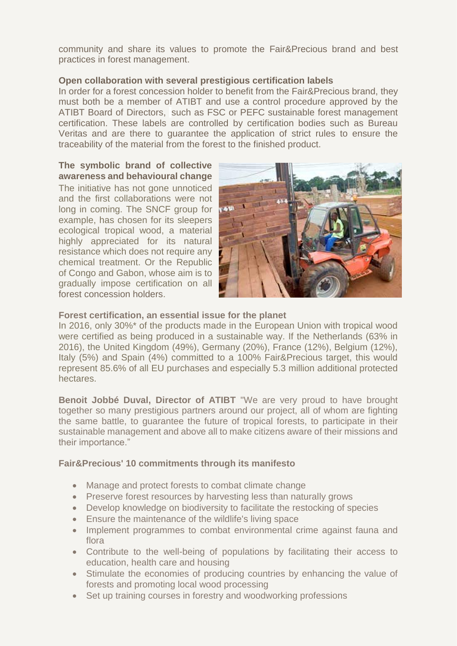community and share its values to promote the Fair&Precious brand and best practices in forest management.

# **Open collaboration with several prestigious certification labels**

In order for a forest concession holder to benefit from the Fair&Precious brand, they must both be a member of ATIBT and use a control procedure approved by the ATIBT Board of Directors, such as FSC or PEFC sustainable forest management certification. These labels are controlled by certification bodies such as Bureau Veritas and are there to guarantee the application of strict rules to ensure the traceability of the material from the forest to the finished product.

#### **The symbolic brand of collective awareness and behavioural change**

The initiative has not gone unnoticed and the first collaborations were not long in coming. The SNCF group for example, has chosen for its sleepers ecological tropical wood, a material highly appreciated for its natural resistance which does not require any chemical treatment. Or the Republic of Congo and Gabon, whose aim is to gradually impose certification on all forest concession holders.



# **Forest certification, an essential issue for the planet**

In 2016, only 30%\* of the products made in the European Union with tropical wood were certified as being produced in a sustainable way. If the Netherlands (63% in 2016), the United Kingdom (49%), Germany (20%), France (12%), Belgium (12%), Italy (5%) and Spain (4%) committed to a 100% Fair&Precious target, this would represent 85.6% of all EU purchases and especially 5.3 million additional protected hectares.

**Benoit Jobbé Duval, Director of ATIBT** "We are very proud to have brought together so many prestigious partners around our project, all of whom are fighting the same battle, to guarantee the future of tropical forests, to participate in their sustainable management and above all to make citizens aware of their missions and their importance."

# **Fair&Precious' 10 commitments through its manifesto**

- Manage and protect forests to combat climate change
- Preserve forest resources by harvesting less than naturally grows
- Develop knowledge on biodiversity to facilitate the restocking of species
- Ensure the maintenance of the wildlife's living space
- Implement programmes to combat environmental crime against fauna and flora
- Contribute to the well-being of populations by facilitating their access to education, health care and housing
- Stimulate the economies of producing countries by enhancing the value of forests and promoting local wood processing
- Set up training courses in forestry and woodworking professions